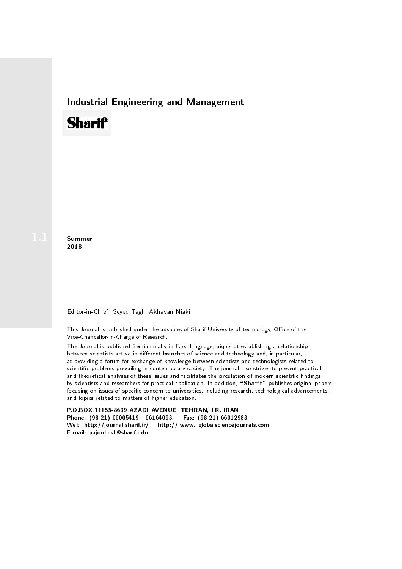## Industrial Engineering and Management

# **Sharif**

**Summer** 2018

### Editor-in-Chief: Seyed Taghi Akhavan Niaki

This Journal is published under the auspices of Sharif University of technology, Office of the Vice-Chancellor-in-Charge of Research.

The Journal is published Semiannually in Farsi language, aiqms at establishing a relationship between scientists active in different branches of science and technology and, in particular, at providing a forum for exchange of knowledge between scientists and technologists related to scientic problems prevailing in contemporary society. The journal also strives to present practical and theoretical analyses of these issues and facilitates the circulation of modern scientific findings by scientists and researchers for practical application. In addition, "Sharif" publishes original papers focusing on issues of specific concern to universities, including research, technological advancements, and topics related to matters of higher education.

P.O.BOX 11155-8639 AZADI AVENUE, TEHRAN, I.R. IRAN Phone: (98-21) 66005419 - 66164093 Fax: (98-21) 66012983 Web: http://journal.sharif.ir/ http:// www. globalsciencejournals.com E-mail: pajouhesh@sharif.edu